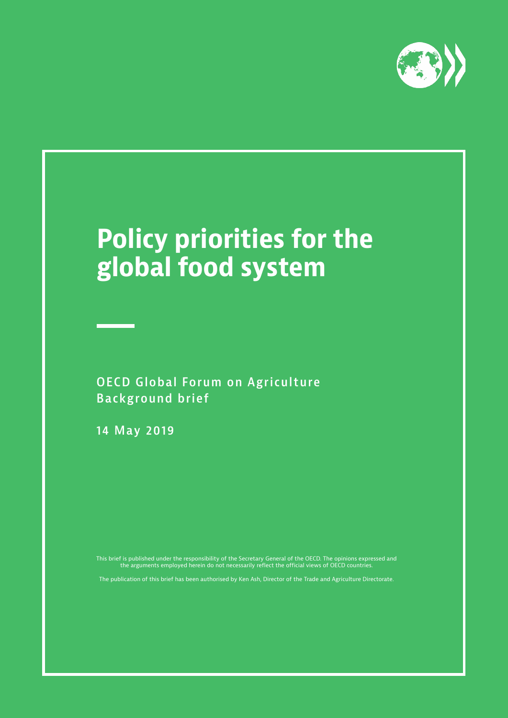

## **Policy priorities for the global food system**

**OECD Global Forum on Agriculture Background brief**

**14 May 2019**

This brief is published under the responsibility of the Secretary General of the OECD. The opinions expressed and the arguments employed herein do not necessarily reflect the official views of OECD countries.

The publication of this brief has been authorised by Ken Ash, Director of the Trade and Agriculture Directorate.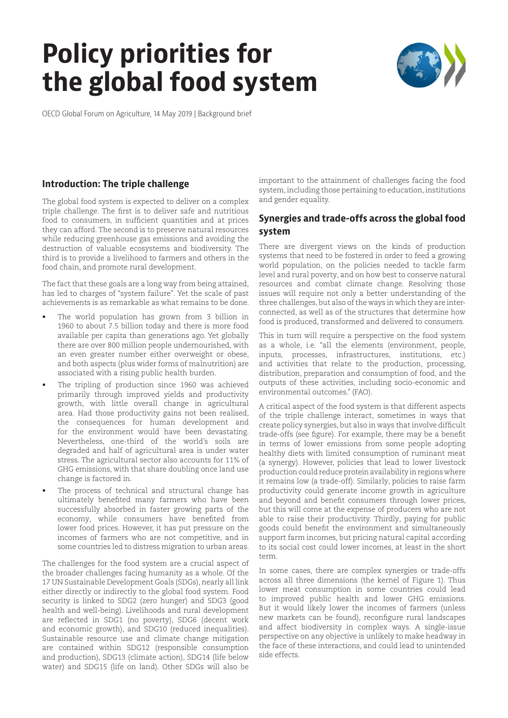# **Policy priorities for the global food system**



OECD Global Forum on Agriculture, 14 May 2019 | Background brief

## **Introduction: The triple challenge**

The global food system is expected to deliver on a complex triple challenge. The first is to deliver safe and nutritious food to consumers, in sufficient quantities and at prices they can afford. The second is to preserve natural resources while reducing greenhouse gas emissions and avoiding the destruction of valuable ecosystems and biodiversity. The third is to provide a livelihood to farmers and others in the food chain, and promote rural development.

The fact that these goals are a long way from being attained, has led to charges of "system failure". Yet the scale of past achievements is as remarkable as what remains to be done.

- The world population has grown from 3 billion in 1960 to about 7.5 billion today and there is more food available per capita than generations ago. Yet globally there are over 800 million people undernourished, with an even greater number either overweight or obese, and both aspects (plus wider forms of malnutrition) are associated with a rising public health burden.
- The tripling of production since 1960 was achieved primarily through improved yields and productivity growth, with little overall change in agricultural area. Had those productivity gains not been realised, the consequences for human development and for the environment would have been devastating. Nevertheless, one-third of the world's soils are degraded and half of agricultural area is under water stress. The agricultural sector also accounts for 11% of GHG emissions, with that share doubling once land use change is factored in.
- The process of technical and structural change has ultimately benefited many farmers who have been successfully absorbed in faster growing parts of the economy, while consumers have benefited from lower food prices. However, it has put pressure on the incomes of farmers who are not competitive, and in some countries led to distress migration to urban areas.

The challenges for the food system are a crucial aspect of the broader challenges facing humanity as a whole. Of the 17 UN Sustainable Development Goals (SDGs), nearly all link either directly or indirectly to the global food system. Food security is linked to SDG2 (zero hunger) and SDG3 (good health and well-being). Livelihoods and rural development are reflected in SDG1 (no poverty), SDG6 (decent work and economic growth), and SDG10 (reduced inequalities). Sustainable resource use and climate change mitigation are contained within SDG12 (responsible consumption and production), SDG13 (climate action), SDG14 (life below water) and SDG15 (life on land). Other SDGs will also be

important to the attainment of challenges facing the food system, including those pertaining to education, institutions and gender equality.

## **Synergies and trade-offs across the global food system**

There are divergent views on the kinds of production systems that need to be fostered in order to feed a growing world population, on the policies needed to tackle farm level and rural poverty, and on how best to conserve natural resources and combat climate change. Resolving those issues will require not only a better understanding of the three challenges, but also of the ways in which they are interconnected, as well as of the structures that determine how food is produced, transformed and delivered to consumers.

This in turn will require a perspective on the food system as a whole, i.e. "all the elements (environment, people, inputs, processes, infrastructures, institutions, etc.) and activities that relate to the production, processing, distribution, preparation and consumption of food, and the outputs of these activities, including socio-economic and environmental outcomes." (FAO).

A critical aspect of the food system is that different aspects of the triple challenge interact, sometimes in ways that create policy synergies, but also in ways that involve difficult trade-offs (see figure). For example, there may be a benefit in terms of lower emissions from some people adopting healthy diets with limited consumption of ruminant meat (a synergy). However, policies that lead to lower livestock production could reduce protein availability in regions where it remains low (a trade-off). Similarly, policies to raise farm productivity could generate income growth in agriculture and beyond and benefit consumers through lower prices, but this will come at the expense of producers who are not able to raise their productivity. Thirdly, paying for public goods could benefit the environment and simultaneously support farm incomes, but pricing natural capital according to its social cost could lower incomes, at least in the short term.

In some cases, there are complex synergies or trade-offs across all three dimensions (the kernel of Figure 1). Thus lower meat consumption in some countries could lead to improved public health and lower GHG emissions. But it would likely lower the incomes of farmers (unless new markets can be found), reconfigure rural landscapes and affect biodiversity in complex ways. A single-issue perspective on any objective is unlikely to make headway in the face of these interactions, and could lead to unintended side effects.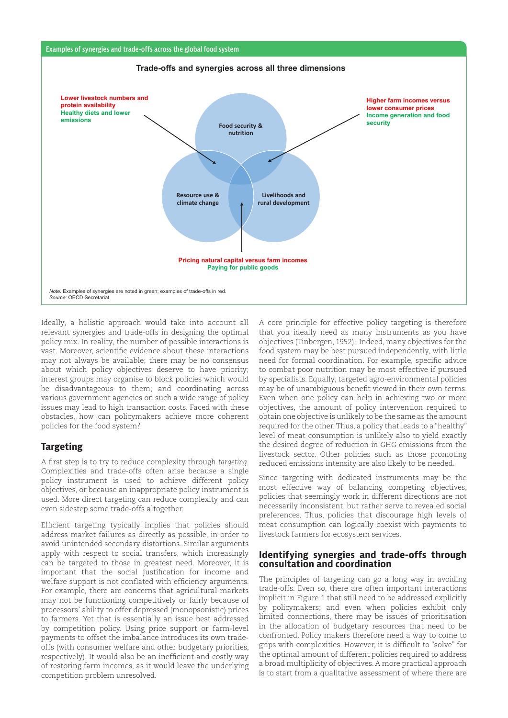





Ideally, a holistic approach would take into account all relevant synergies and trade-offs in designing the optimal policy mix. In reality, the number of possible interactions is vast. Moreover, scientific evidence about these interactions may not always be available; there may be no consensus about which policy objectives deserve to have priority; interest groups may organise to block policies which would be disadvantageous to them; and coordinating across various government agencies on such a wide range of policy issues may lead to high transaction costs. Faced with these obstacles, how can policymakers achieve more coherent policies for the food system?

## **Targeting**

A first step is to try to reduce complexity through *targeting*. Complexities and trade-offs often arise because a single policy instrument is used to achieve different policy objectives, or because an inappropriate policy instrument is used. More direct targeting can reduce complexity and can even sidestep some trade-offs altogether.

Efficient targeting typically implies that policies should address market failures as directly as possible, in order to avoid unintended secondary distortions. Similar arguments apply with respect to social transfers, which increasingly can be targeted to those in greatest need. Moreover, it is important that the social justification for income and welfare support is not conflated with efficiency arguments. For example, there are concerns that agricultural markets may not be functioning competitively or fairly because of processors' ability to offer depressed (monopsonistic) prices to farmers. Yet that is essentially an issue best addressed by competition policy. Using price support or farm-level payments to offset the imbalance introduces its own tradeoffs (with consumer welfare and other budgetary priorities, respectively). It would also be an inefficient and costly way of restoring farm incomes, as it would leave the underlying competition problem unresolved.

A core principle for effective policy targeting is therefore that you ideally need as many instruments as you have objectives (Tinbergen, 1952). Indeed, many objectives for the food system may be best pursued independently, with little need for formal coordination. For example, specific advice to combat poor nutrition may be most effective if pursued by specialists. Equally, targeted agro-environmental policies may be of unambiguous benefit viewed in their own terms. Even when one policy can help in achieving two or more objectives, the amount of policy intervention required to obtain one objective is unlikely to be the same as the amount required for the other. Thus, a policy that leads to a "healthy" level of meat consumption is unlikely also to yield exactly the desired degree of reduction in GHG emissions from the livestock sector. Other policies such as those promoting reduced emissions intensity are also likely to be needed.

Since targeting with dedicated instruments may be the most effective way of balancing competing objectives, policies that seemingly work in different directions are not necessarily inconsistent, but rather serve to revealed social preferences. Thus, policies that discourage high levels of meat consumption can logically coexist with payments to livestock farmers for ecosystem services.

#### **Identifying synergies and trade-offs through consultation and coordination**

The principles of targeting can go a long way in avoiding trade-offs. Even so, there are often important interactions implicit in Figure 1 that still need to be addressed explicitly by policymakers; and even when policies exhibit only limited connections, there may be issues of prioritisation in the allocation of budgetary resources that need to be confronted. Policy makers therefore need a way to come to grips with complexities. However, it is difficult to "solve" for the optimal amount of different policies required to address a broad multiplicity of objectives. A more practical approach is to start from a qualitative assessment of where there are